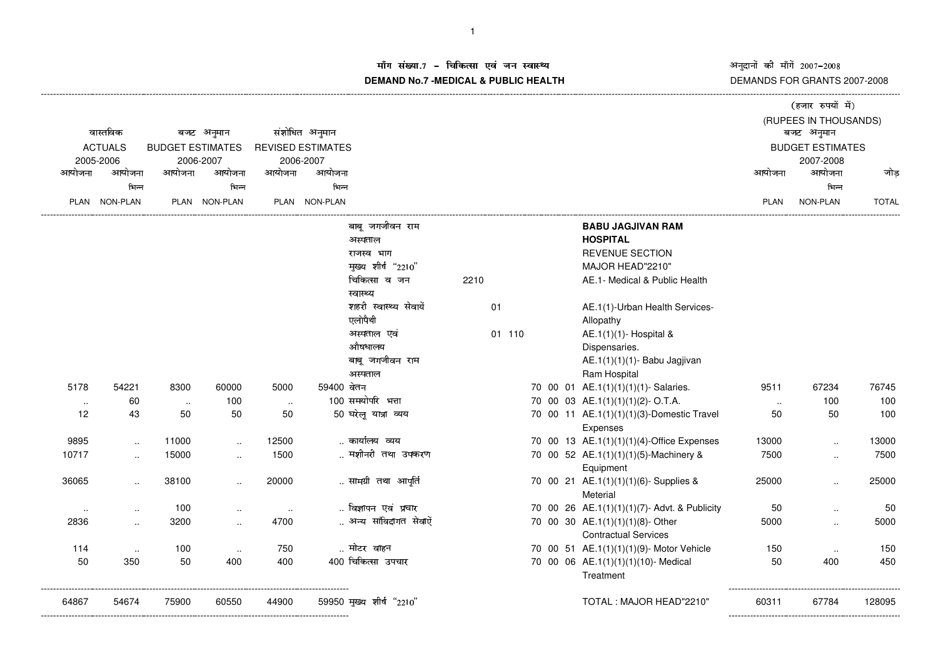अनुदानों की माँगें 2007–2008<br>DEMANDS FOR GRANTS 2007-2008

## ाँग संख्या.7 – चिकित्सा एवं जन स्वास्थ्य<br>IAND N- 7 MEDIOAL 8 DUDLIO-UEALTIL **DEMAND No.7 -MEDICAL & PUBLIC HEALTH**

|                             |                      |                                      |                                |        |                          |                            |      |        |                         |  |                                                       |             | (हजार रुपयों में)     |              |
|-----------------------------|----------------------|--------------------------------------|--------------------------------|--------|--------------------------|----------------------------|------|--------|-------------------------|--|-------------------------------------------------------|-------------|-----------------------|--------------|
|                             |                      |                                      |                                |        |                          |                            |      |        |                         |  |                                                       |             | (RUPEES IN THOUSANDS) |              |
|                             | वास्तविक             |                                      | बजट अनुमान                     |        | संशोधित अनुमान           |                            |      |        |                         |  |                                                       |             | बजट अनुमान            |              |
| <b>ACTUALS</b><br>2005-2006 |                      | <b>BUDGET ESTIMATES</b><br>2006-2007 |                                |        | <b>REVISED ESTIMATES</b> |                            |      |        | <b>BUDGET ESTIMATES</b> |  |                                                       |             |                       |              |
|                             |                      |                                      |                                |        | 2006-2007                |                            |      |        |                         |  |                                                       |             | 2007-2008             |              |
| आयोजना                      | आयोजना               | आयोजना                               | आयोजना                         | आयोजना | आयोजना                   |                            |      |        |                         |  |                                                       | आयोजना      | आयोजना                | जोड          |
|                             | भिन्न                |                                      | भिन्न                          |        | भिन्न                    |                            |      |        |                         |  |                                                       |             | भिन्न                 |              |
| PLAN                        | <b>NON-PLAN</b>      |                                      | PLAN NON-PLAN                  |        | PLAN NON-PLAN            |                            |      |        |                         |  |                                                       | <b>PLAN</b> | <b>NON-PLAN</b>       | <b>TOTAL</b> |
|                             |                      |                                      |                                |        |                          | बाबू जगजीवन राम            |      |        |                         |  | <b>BABU JAGJIVAN RAM</b>                              |             |                       |              |
|                             |                      |                                      |                                |        |                          | अस्पताल                    |      |        |                         |  | <b>HOSPITAL</b>                                       |             |                       |              |
|                             |                      |                                      |                                |        |                          | राजस्व भाग                 |      |        |                         |  | <b>REVENUE SECTION</b>                                |             |                       |              |
|                             |                      |                                      |                                |        |                          | मुख्य शीर्ष "2210"         |      |        |                         |  | MAJOR HEAD"2210"                                      |             |                       |              |
|                             |                      |                                      |                                |        |                          | चिकित्सा व जन<br>स्वास्थ्य | 2210 |        |                         |  | AE.1- Medical & Public Health                         |             |                       |              |
|                             |                      |                                      |                                |        |                          | शहरी स्वास्थ्य सेवायें     |      | 01     |                         |  | AE.1(1)-Urban Health Services-                        |             |                       |              |
|                             |                      |                                      |                                |        |                          | एलोपैथी                    |      |        |                         |  | Allopathy                                             |             |                       |              |
|                             |                      |                                      |                                |        |                          | अस्पताल एवं                |      | 01 110 |                         |  | AE.1(1)(1)- Hospital &                                |             |                       |              |
|                             |                      |                                      |                                |        |                          | औषधालय                     |      |        |                         |  | Dispensaries.                                         |             |                       |              |
|                             |                      |                                      |                                |        |                          | बाबू जगजीवन राम            |      |        |                         |  | AE.1(1)(1)(1)- Babu Jagjivan                          |             |                       |              |
|                             |                      |                                      |                                |        |                          | अस्पताल                    |      |        |                         |  | Ram Hospital                                          |             |                       |              |
| 5178                        | 54221                | 8300                                 | 60000                          | 5000   | 59400 वेतन               |                            |      |        |                         |  | 70 00 01 AE.1(1)(1)(1)(1)- Salaries.                  | 9511        | 67234                 | 76745        |
| $\sim$                      | 60                   | $\sim$                               | 100                            | $\sim$ |                          | 100 समयोपरि भत्ता          |      |        |                         |  | 70 00 03 AE.1(1)(1)(1)(2)- O.T.A.                     | $\sim$      | 100                   | 100          |
| 12                          | 43                   | 50                                   | 50                             | 50     |                          | 50 घरेलू यात्रा व्यय       |      |        |                         |  | 70 00 11 AE.1(1)(1)(1)(3)-Domestic Travel<br>Expenses | 50          | 50                    | 100          |
| 9895                        |                      | 11000                                |                                | 12500  |                          | कार्यालय व्यय              |      |        |                         |  | 70 00 13 AE.1(1)(1)(1)(4)-Office Expenses             | 13000       |                       | 13000        |
| 10717                       | $\ldots$             | 15000                                | $\sim$<br>$\ddot{\phantom{a}}$ | 1500   |                          | मशीनरी तथा उपकरण           |      |        |                         |  | 70 00 52 AE.1(1)(1)(1)(5)-Machinery &                 | 7500        | $\ddot{\phantom{1}}$  | 7500         |
|                             | $\ddotsc$            |                                      |                                |        |                          |                            |      |        |                         |  | Equipment                                             |             | $\ddotsc$             |              |
| 36065                       | $\ddot{\phantom{a}}$ | 38100                                | $\ldots$                       | 20000  |                          | सामग्री तथा आपूर्ति        |      |        |                         |  | 70 00 21 AE.1(1)(1)(1)(6)- Supplies &<br>Meterial     | 25000       | $\ddot{\phantom{a}}$  | 25000        |
| $\sim$                      | $\ddotsc$            | 100                                  | $\sim$                         | $\sim$ |                          | विज्ञापन एवं प्रचार        |      |        |                         |  | 70 00 26 AE.1(1)(1)(1)(7)- Advt. & Publicity          | 50          | $\ddot{\phantom{a}}$  | 50           |
| 2836                        | $\ddot{\phantom{a}}$ | 3200                                 | $\ldots$                       | 4700   |                          | अन्य सांविदागत सेवाऐं      |      |        |                         |  | 70 00 30 AE.1(1)(1)(1)(8)- Other                      | 5000        | $\ddotsc$             | 5000         |
|                             |                      |                                      |                                |        |                          |                            |      |        |                         |  | <b>Contractual Services</b>                           |             |                       |              |
| 114                         | $\sim$               | 100                                  | $\sim$                         | 750    |                          | मोटर वाहन                  |      |        |                         |  | 70 00 51 AE.1(1)(1)(1)(9)- Motor Vehicle              | 150         | $\ddotsc$             | 150          |
| 50                          | 350                  | 50                                   | 400                            | 400    |                          | 400 चिकित्सा उपचार         |      |        |                         |  | 70 00 06 AE.1(1)(1)(1)(10)- Medical                   | 50          | 400                   | 450          |
|                             |                      |                                      |                                |        |                          |                            |      |        |                         |  | Treatment                                             |             |                       |              |
| 64867                       | 54674                | 75900                                | 60550                          | 44900  |                          | 59950 मुख्य शीर्ष "2210"   |      |        |                         |  | TOTAL: MAJOR HEAD"2210"                               | 60311       | 67784                 | 128095       |
|                             |                      |                                      |                                |        |                          |                            |      |        |                         |  |                                                       |             |                       |              |

----------------------------------------------------------------------------------------------------------------------------------------------------------------------------------------------------------------------------------------------------------------------------------------------